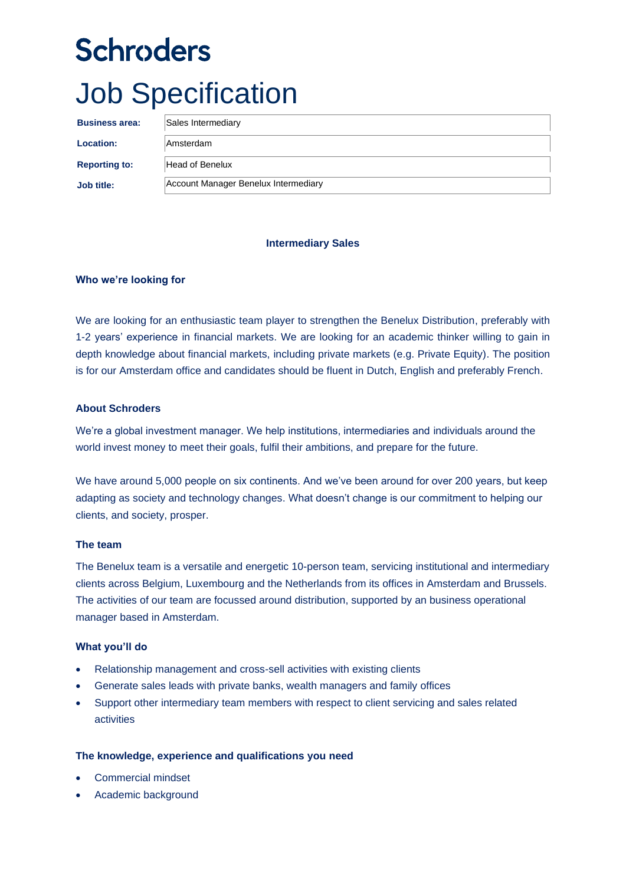# **Schroders** Job Specification

| <b>Business area:</b> | Sales Intermediary                   |
|-----------------------|--------------------------------------|
| <b>Location:</b>      | <b>Amsterdam</b>                     |
| <b>Reporting to:</b>  | Head of Benelux                      |
| Job title:            | Account Manager Benelux Intermediary |

## **Intermediary Sales**

## **Who we're looking for**

We are looking for an enthusiastic team player to strengthen the Benelux Distribution, preferably with 1-2 years' experience in financial markets. We are looking for an academic thinker willing to gain in depth knowledge about financial markets, including private markets (e.g. Private Equity). The position is for our Amsterdam office and candidates should be fluent in Dutch, English and preferably French.

# **About Schroders**

We're a global investment manager. We help institutions, intermediaries and individuals around the world invest money to meet their goals, fulfil their ambitions, and prepare for the future.

We have around 5,000 people on six continents. And we've been around for over 200 years, but keep adapting as society and technology changes. What doesn't change is our commitment to helping our clients, and society, prosper.

#### **The team**

The Benelux team is a versatile and energetic 10-person team, servicing institutional and intermediary clients across Belgium, Luxembourg and the Netherlands from its offices in Amsterdam and Brussels. The activities of our team are focussed around distribution, supported by an business operational manager based in Amsterdam.

#### **What you'll do**

- Relationship management and cross-sell activities with existing clients
- Generate sales leads with private banks, wealth managers and family offices
- Support other intermediary team members with respect to client servicing and sales related activities

#### **The knowledge, experience and qualifications you need**

- Commercial mindset
- Academic background